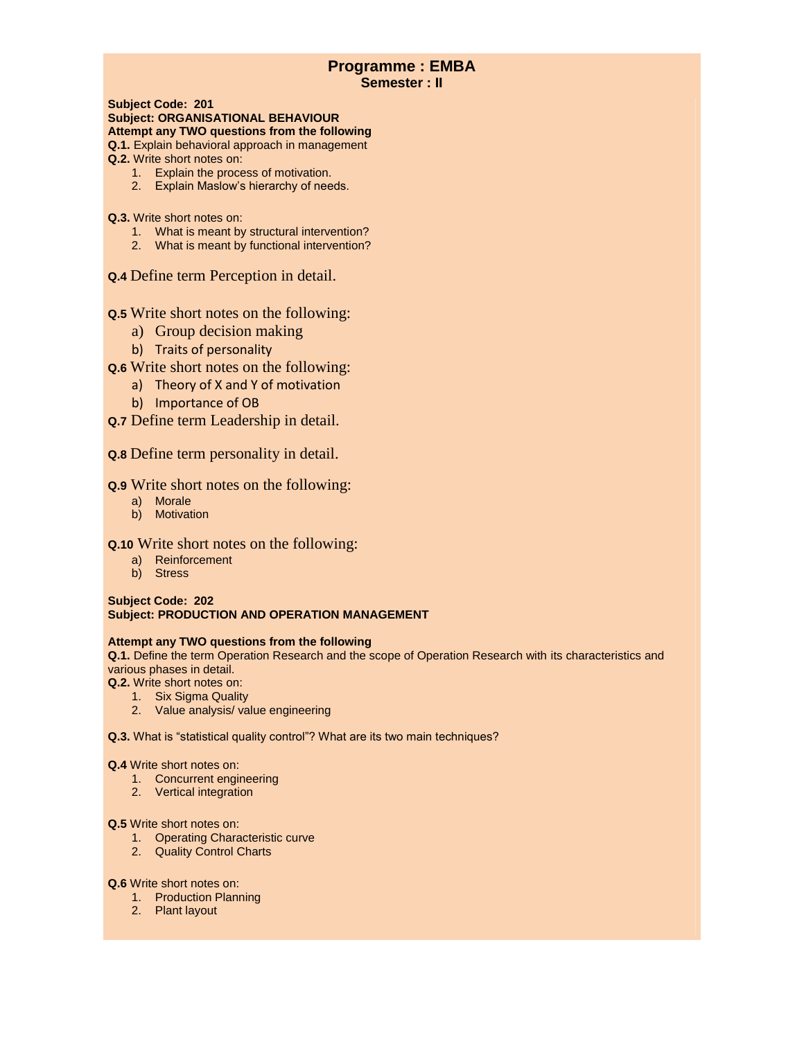# **Programme : EMBA Semester : II**

**Subject Code: 201 Subject: ORGANISATIONAL BEHAVIOUR Attempt any TWO questions from the following Q.1.** Explain behavioral approach in management

- **Q.2.** Write short notes on:
	- 1. Explain the process of motivation.
	- 2. Explain Maslow's hierarchy of needs.
- **Q.3.** Write short notes on:
	- 1. What is meant by structural intervention?
	- 2. What is meant by functional intervention?
- **Q.4** Define term Perception in detail.

# **Q.5** Write short notes on the following:

- a) Group decision making
- b) Traits of personality
- **Q.6** Write short notes on the following:
	- a) Theory of X and Y of motivation
	- b) Importance of OB
- **Q.7** Define term Leadership in detail.

# **Q.8** Define term personality in detail.

## **Q.9** Write short notes on the following:

- a) Morale
- b) Motivation

## **Q.10** Write short notes on the following:

- a) Reinforcement
- b) Stress

## **Subject Code: 202 Subject: PRODUCTION AND OPERATION MANAGEMENT**

## **Attempt any TWO questions from the following**

**Q.1.** Define the term Operation Research and the scope of Operation Research with its characteristics and various phases in detail.

**Q.2.** Write short notes on:

- 1. Six Sigma Quality
- 2. Value analysis/ value engineering

**Q.3.** What is "statistical quality control"? What are its two main techniques?

## **Q.4** Write short notes on:

- 1. Concurrent engineering
- 2. Vertical integration

## **Q.5** Write short notes on:

- 1. Operating Characteristic curve
- 2. Quality Control Charts

## **Q.6** Write short notes on:

- 1. Production Planning
- 2. Plant layout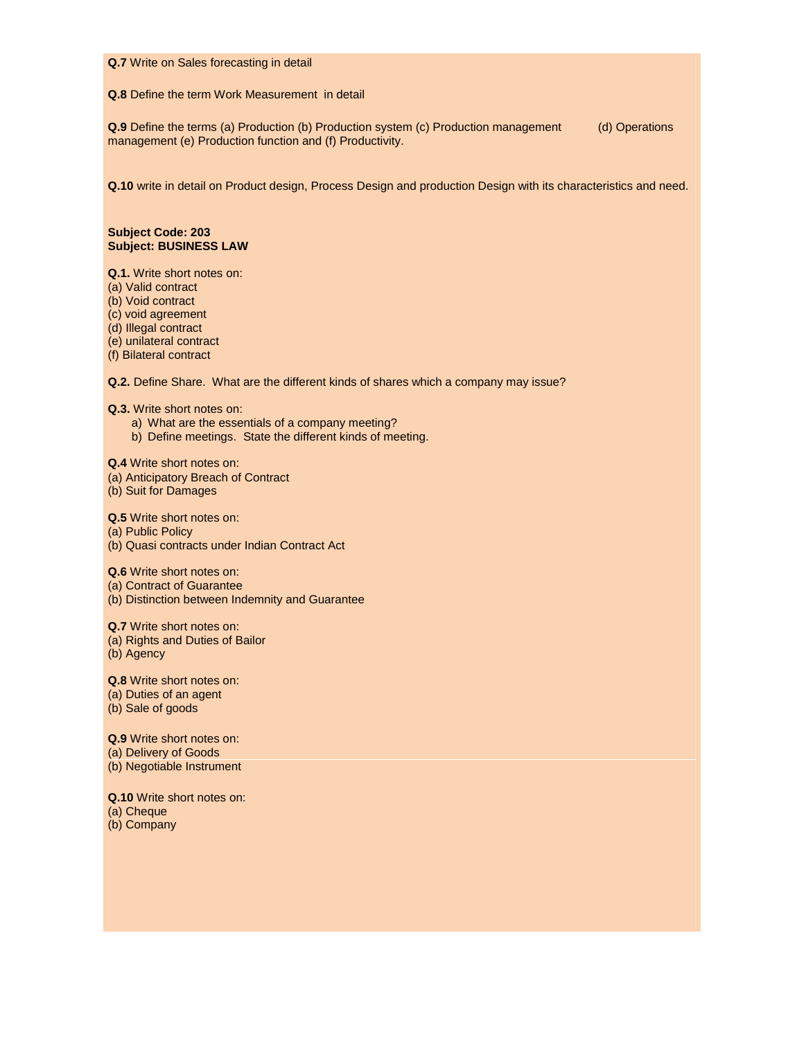#### **Q.7** Write on Sales forecasting in detail

#### **Q.8** Define the term Work Measurement in detail

**Q.9** Define the terms (a) Production (b) Production system (c) Production management (d) Operations management (e) Production function and (f) Productivity.

**Q.10** write in detail on Product design, Process Design and production Design with its characteristics and need.

#### **Subject Code: 203 Subject: BUSINESS LAW**

**Q.1.** Write short notes on:

(a) Valid contract

(b) Void contract

(c) void agreement

(d) Illegal contract

(e) unilateral contract

(f) Bilateral contract

**Q.2.** Define Share. What are the different kinds of shares which a company may issue?

**Q.3.** Write short notes on:

a) What are the essentials of a company meeting?

b) Define meetings. State the different kinds of meeting.

**Q.4** Write short notes on:

(a) Anticipatory Breach of Contract

(b) Suit for Damages

**Q.5** Write short notes on: (a) Public Policy (b) Quasi contracts under Indian Contract Act

**Q.6** Write short notes on:

(a) Contract of Guarantee

(b) Distinction between Indemnity and Guarantee

**Q.7** Write short notes on: (a) Rights and Duties of Bailor (b) Agency

**Q.8** Write short notes on: (a) Duties of an agent (b) Sale of goods

**Q.9** Write short notes on: (a) Delivery of Goods

(b) Negotiable Instrument

**Q.10** Write short notes on: (a) Cheque (b) Company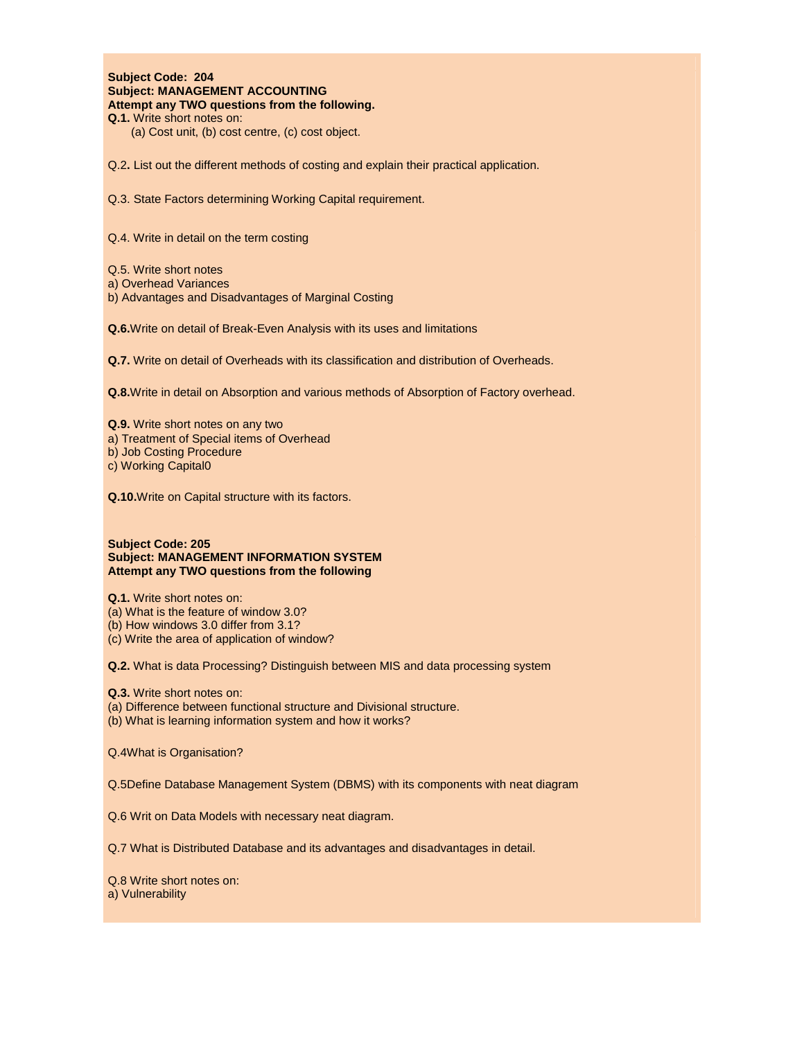#### **Subject Code: 204 Subject: MANAGEMENT ACCOUNTING Attempt any TWO questions from the following. Q.1.** Write short notes on:

(a) Cost unit, (b) cost centre, (c) cost object.

Q.2**.** List out the different methods of costing and explain their practical application.

Q.3. State Factors determining Working Capital requirement.

Q.4. Write in detail on the term costing

Q.5. Write short notes

- a) Overhead Variances
- b) Advantages and Disadvantages of Marginal Costing

**Q.6.**Write on detail of Break-Even Analysis with its uses and limitations

**Q.7.** Write on detail of Overheads with its classification and distribution of Overheads.

**Q.8.**Write in detail on Absorption and various methods of Absorption of Factory overhead.

- **Q.9.** Write short notes on any two
- a) Treatment of Special items of Overhead
- b) Job Costing Procedure

c) Working Capital0

**Q.10.**Write on Capital structure with its factors.

#### **Subject Code: 205 Subject: MANAGEMENT INFORMATION SYSTEM Attempt any TWO questions from the following**

**Q.1.** Write short notes on:

- (a) What is the feature of window 3.0?
- (b) How windows 3.0 differ from 3.1?

(c) Write the area of application of window?

**Q.2.** What is data Processing? Distinguish between MIS and data processing system

**Q.3.** Write short notes on:

- (a) Difference between functional structure and Divisional structure.
- (b) What is learning information system and how it works?

Q.4What is Organisation?

Q.5Define Database Management System (DBMS) with its components with neat diagram

Q.6 Writ on Data Models with necessary neat diagram.

Q.7 What is Distributed Database and its advantages and disadvantages in detail.

Q.8 Write short notes on: a) Vulnerability